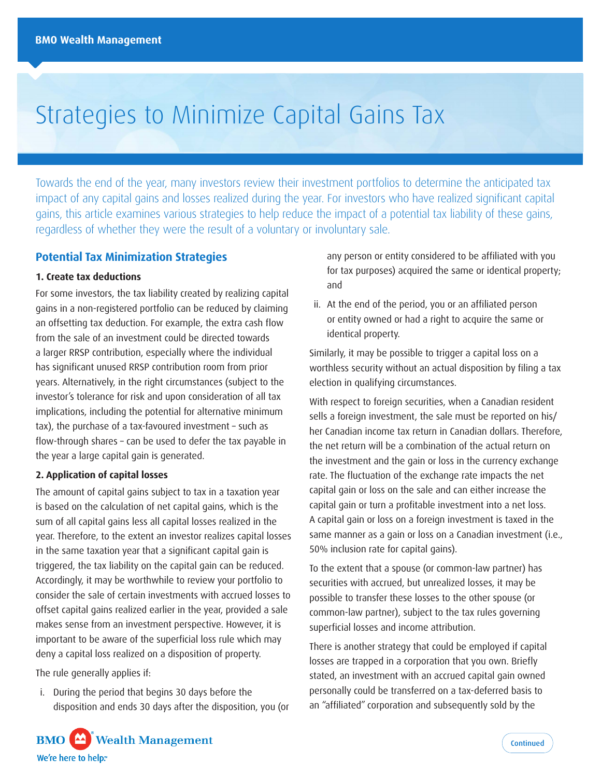# Strategies to Minimize Capital Gains Tax

Towards the end of the year, many investors review their investment portfolios to determine the anticipated tax impact of any capital gains and losses realized during the year. For investors who have realized significant capital gains, this article examines various strategies to help reduce the impact of a potential tax liability of these gains, regardless of whether they were the result of a voluntary or involuntary sale.

# **Potential Tax Minimization Strategies**

# **1. Create tax deductions**

For some investors, the tax liability created by realizing capital gains in a non-registered portfolio can be reduced by claiming an offsetting tax deduction. For example, the extra cash flow from the sale of an investment could be directed towards a larger RRSP contribution, especially where the individual has significant unused RRSP contribution room from prior years. Alternatively, in the right circumstances (subject to the investor's tolerance for risk and upon consideration of all tax implications, including the potential for alternative minimum tax), the purchase of a tax-favoured investment – such as flow-through shares – can be used to defer the tax payable in the year a large capital gain is generated.

# **2. Application of capital losses**

The amount of capital gains subject to tax in a taxation year is based on the calculation of net capital gains, which is the sum of all capital gains less all capital losses realized in the year. Therefore, to the extent an investor realizes capital losses in the same taxation year that a significant capital gain is triggered, the tax liability on the capital gain can be reduced. Accordingly, it may be worthwhile to review your portfolio to consider the sale of certain investments with accrued losses to offset capital gains realized earlier in the year, provided a sale makes sense from an investment perspective. However, it is important to be aware of the superficial loss rule which may deny a capital loss realized on a disposition of property.

The rule generally applies if:

i. During the period that begins 30 days before the disposition and ends 30 days after the disposition, you (or any person or entity considered to be affiliated with you for tax purposes) acquired the same or identical property; and

ii. At the end of the period, you or an affiliated person or entity owned or had a right to acquire the same or identical property.

Similarly, it may be possible to trigger a capital loss on a worthless security without an actual disposition by filing a tax election in qualifying circumstances.

With respect to foreign securities, when a Canadian resident sells a foreign investment, the sale must be reported on his/ her Canadian income tax return in Canadian dollars. Therefore, the net return will be a combination of the actual return on the investment and the gain or loss in the currency exchange rate. The fluctuation of the exchange rate impacts the net capital gain or loss on the sale and can either increase the capital gain or turn a profitable investment into a net loss. A capital gain or loss on a foreign investment is taxed in the same manner as a gain or loss on a Canadian investment (i.e., 50% inclusion rate for capital gains).

To the extent that a spouse (or common-law partner) has securities with accrued, but unrealized losses, it may be possible to transfer these losses to the other spouse (or common-law partner), subject to the tax rules governing superficial losses and income attribution.

There is another strategy that could be employed if capital losses are trapped in a corporation that you own. Briefly stated, an investment with an accrued capital gain owned personally could be transferred on a tax-deferred basis to an "affiliated" corporation and subsequently sold by the

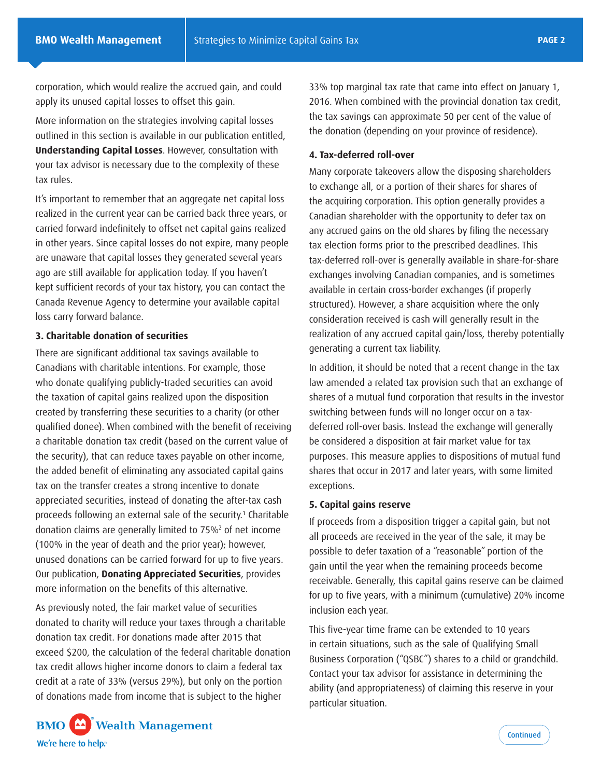corporation, which would realize the accrued gain, and could apply its unused capital losses to offset this gain.

More information on the strategies involving capital losses outlined in this section is available in our publication entitled, **Understanding Capital Losses**. However, consultation with your tax advisor is necessary due to the complexity of these tax rules.

It's important to remember that an aggregate net capital loss realized in the current year can be carried back three years, or carried forward indefinitely to offset net capital gains realized in other years. Since capital losses do not expire, many people are unaware that capital losses they generated several years ago are still available for application today. If you haven't kept sufficient records of your tax history, you can contact the Canada Revenue Agency to determine your available capital loss carry forward balance.

# **3. Charitable donation of securities**

There are significant additional tax savings available to Canadians with charitable intentions. For example, those who donate qualifying publicly-traded securities can avoid the taxation of capital gains realized upon the disposition created by transferring these securities to a charity (or other qualified donee). When combined with the benefit of receiving a charitable donation tax credit (based on the current value of the security), that can reduce taxes payable on other income, the added benefit of eliminating any associated capital gains tax on the transfer creates a strong incentive to donate appreciated securities, instead of donating the after-tax cash proceeds following an external sale of the security.<sup>1</sup> Charitable donation claims are generally limited to 75%2 of net income (100% in the year of death and the prior year); however, unused donations can be carried forward for up to five years. Our publication, **Donating Appreciated Securities**, provides more information on the benefits of this alternative.

As previously noted, the fair market value of securities donated to charity will reduce your taxes through a charitable donation tax credit. For donations made after 2015 that exceed \$200, the calculation of the federal charitable donation tax credit allows higher income donors to claim a federal tax credit at a rate of 33% (versus 29%), but only on the portion of donations made from income that is subject to the higher

33% top marginal tax rate that came into effect on January 1, 2016. When combined with the provincial donation tax credit, the tax savings can approximate 50 per cent of the value of the donation (depending on your province of residence).

## **4. Tax-deferred roll-over**

Many corporate takeovers allow the disposing shareholders to exchange all, or a portion of their shares for shares of the acquiring corporation. This option generally provides a Canadian shareholder with the opportunity to defer tax on any accrued gains on the old shares by filing the necessary tax election forms prior to the prescribed deadlines. This tax-deferred roll-over is generally available in share-for-share exchanges involving Canadian companies, and is sometimes available in certain cross-border exchanges (if properly structured). However, a share acquisition where the only consideration received is cash will generally result in the realization of any accrued capital gain/loss, thereby potentially generating a current tax liability.

In addition, it should be noted that a recent change in the tax law amended a related tax provision such that an exchange of shares of a mutual fund corporation that results in the investor switching between funds will no longer occur on a taxdeferred roll-over basis. Instead the exchange will generally be considered a disposition at fair market value for tax purposes. This measure applies to dispositions of mutual fund shares that occur in 2017 and later years, with some limited exceptions.

## **5. Capital gains reserve**

If proceeds from a disposition trigger a capital gain, but not all proceeds are received in the year of the sale, it may be possible to defer taxation of a "reasonable" portion of the gain until the year when the remaining proceeds become receivable. Generally, this capital gains reserve can be claimed for up to five years, with a minimum (cumulative) 20% income inclusion each year.

This five-year time frame can be extended to 10 years in certain situations, such as the sale of Qualifying Small Business Corporation ("QSBC") shares to a child or grandchild. Contact your tax advisor for assistance in determining the ability (and appropriateness) of claiming this reserve in your particular situation.